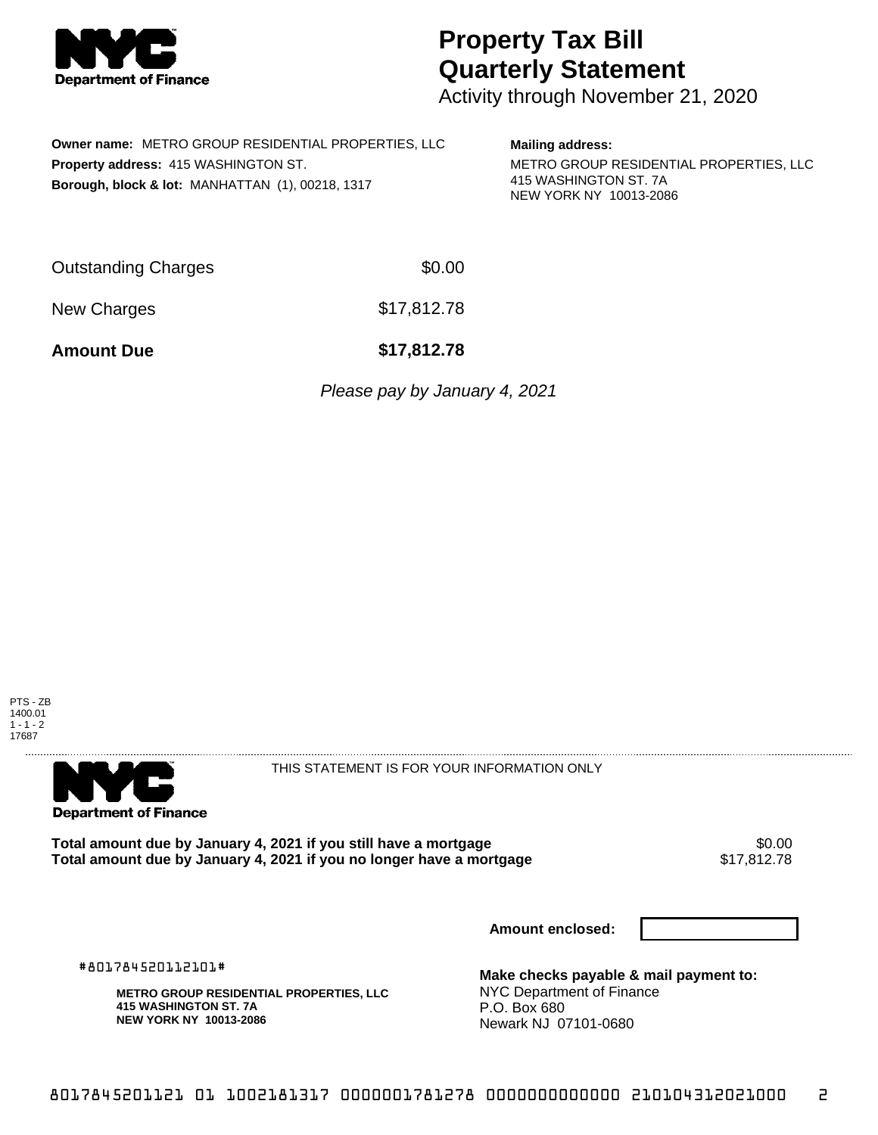

## **Property Tax Bill Quarterly Statement**

Activity through November 21, 2020

| <b>Owner name: METRO GROUP RESIDENTIAL PROPERTIES, LLC</b>  |
|-------------------------------------------------------------|
| <b>Property address: 415 WASHINGTON ST.</b>                 |
| <b>Borough, block &amp; lot: MANHATTAN (1), 00218, 1317</b> |

**Mailing address:**

METRO GROUP RESIDENTIAL PROPERTIES, LLC 415 WASHINGTON ST. 7A NEW YORK NY 10013-2086

| Outstanding Charges | \$0.00      |
|---------------------|-------------|
| New Charges         | \$17,812.78 |

**Amount Due \$17,812.78**

Please pay by January 4, 2021





THIS STATEMENT IS FOR YOUR INFORMATION ONLY

Total amount due by January 4, 2021 if you still have a mortgage **\$0.00** \$0.00<br>Total amount due by January 4, 2021 if you no longer have a mortgage \$17,812.78 Total amount due by January 4, 2021 if you no longer have a mortgage

**Amount enclosed:**

#801784520112101#

**METRO GROUP RESIDENTIAL PROPERTIES, LLC 415 WASHINGTON ST. 7A NEW YORK NY 10013-2086**

**Make checks payable & mail payment to:** NYC Department of Finance P.O. Box 680 Newark NJ 07101-0680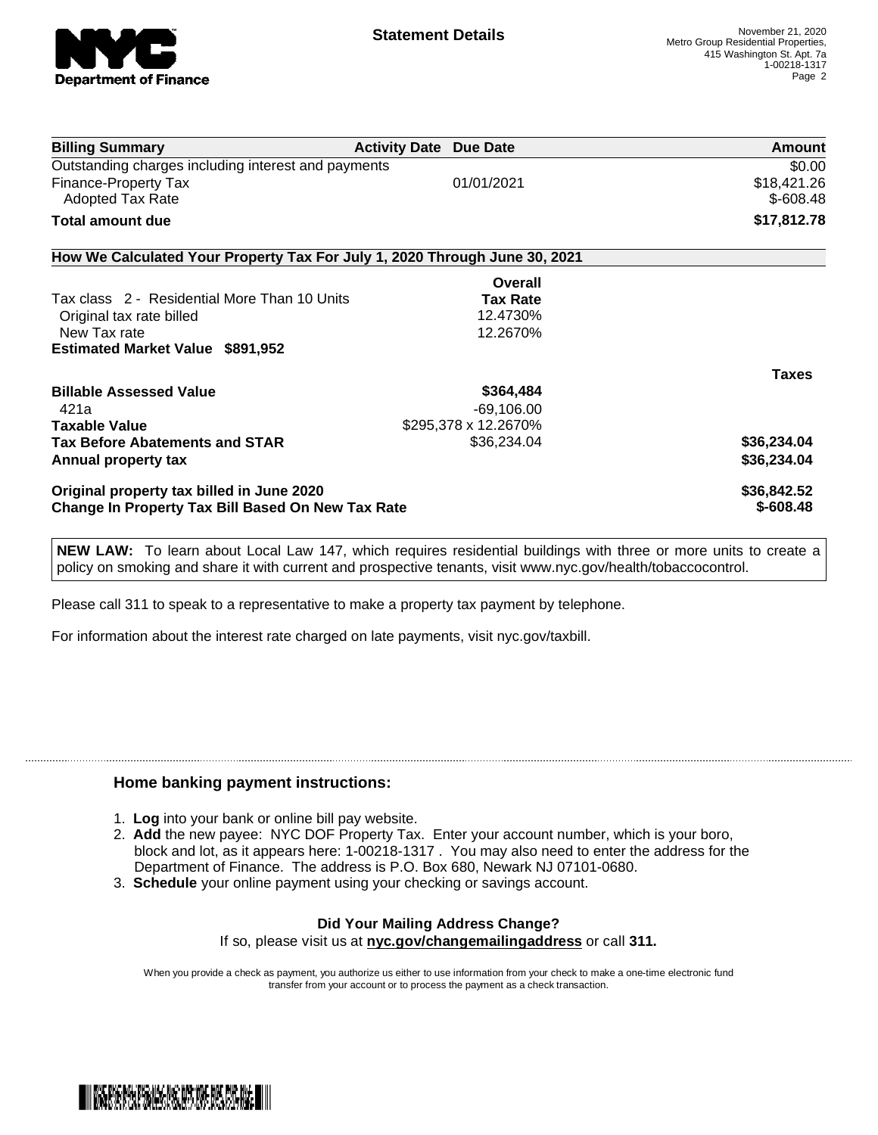

| 01/01/2021                                               | \$0.00<br>\$18,421.26                                                                              |  |  |
|----------------------------------------------------------|----------------------------------------------------------------------------------------------------|--|--|
|                                                          |                                                                                                    |  |  |
|                                                          |                                                                                                    |  |  |
|                                                          | $$-608.48$                                                                                         |  |  |
|                                                          | \$17,812.78                                                                                        |  |  |
|                                                          |                                                                                                    |  |  |
| Overall                                                  |                                                                                                    |  |  |
| <b>Tax Rate</b>                                          |                                                                                                    |  |  |
| 12.4730%                                                 |                                                                                                    |  |  |
| 12.2670%                                                 |                                                                                                    |  |  |
|                                                          |                                                                                                    |  |  |
|                                                          | <b>Taxes</b>                                                                                       |  |  |
| \$364,484                                                |                                                                                                    |  |  |
| $-69,106.00$                                             |                                                                                                    |  |  |
|                                                          |                                                                                                    |  |  |
| \$36,234.04                                              | \$36,234.04                                                                                        |  |  |
|                                                          | \$36,234.04                                                                                        |  |  |
| Original property tax billed in June 2020                |                                                                                                    |  |  |
| <b>Change In Property Tax Bill Based On New Tax Rate</b> |                                                                                                    |  |  |
|                                                          | How We Calculated Your Property Tax For July 1, 2020 Through June 30, 2021<br>\$295,378 x 12.2670% |  |  |

**NEW LAW:** To learn about Local Law 147, which requires residential buildings with three or more units to create a policy on smoking and share it with current and prospective tenants, visit www.nyc.gov/health/tobaccocontrol.

Please call 311 to speak to a representative to make a property tax payment by telephone.

For information about the interest rate charged on late payments, visit nyc.gov/taxbill.

## **Home banking payment instructions:**

- 1. **Log** into your bank or online bill pay website.
- 2. **Add** the new payee: NYC DOF Property Tax. Enter your account number, which is your boro, block and lot, as it appears here: 1-00218-1317 . You may also need to enter the address for the Department of Finance. The address is P.O. Box 680, Newark NJ 07101-0680.
- 3. **Schedule** your online payment using your checking or savings account.

## **Did Your Mailing Address Change?** If so, please visit us at **nyc.gov/changemailingaddress** or call **311.**

When you provide a check as payment, you authorize us either to use information from your check to make a one-time electronic fund transfer from your account or to process the payment as a check transaction.